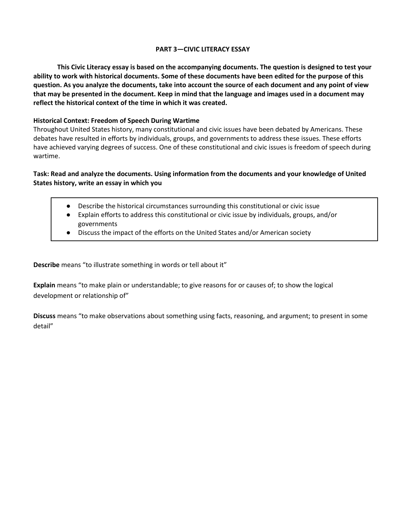## **PART 3—CIVIC LITERACY ESSAY**

**This Civic Literacy essay is based on the accompanying documents. The question is designed to test your ability to work with historical documents. Some of these documents have been edited for the purpose of this question. As you analyze the documents, take into account the source of each document and any point of view that may be presented in the document. Keep in mind that the language and images used in a document may reflect the historical context of the time in which it was created.** 

# **Historical Context: Freedom of Speech During Wartime**

Throughout United States history, many constitutional and civic issues have been debated by Americans. These debates have resulted in efforts by individuals, groups, and governments to address these issues. These efforts have achieved varying degrees of success. One of these constitutional and civic issues is freedom of speech during wartime.

# **Task: Read and analyze the documents. Using information from the documents and your knowledge of United States history, write an essay in which you**

- Describe the historical circumstances surrounding this constitutional or civic issue
- Explain efforts to address this constitutional or civic issue by individuals, groups, and/or governments
- Discuss the impact of the efforts on the United States and/or American society

**Describe** means "to illustrate something in words or tell about it"

**Explain** means "to make plain or understandable; to give reasons for or causes of; to show the logical development or relationship of"

**Discuss** means "to make observations about something using facts, reasoning, and argument; to present in some detail"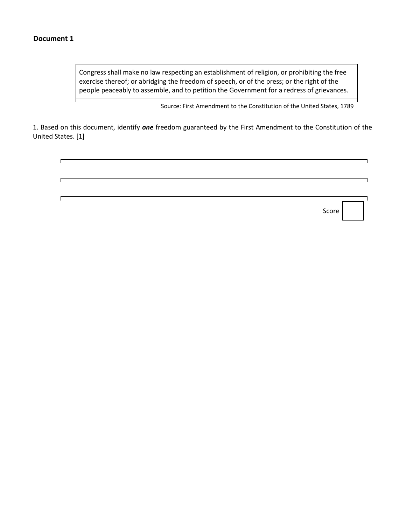Congress shall make no law respecting an establishment of religion, or prohibiting the free exercise thereof; or abridging the freedom of speech, or of the press; or the right of the people peaceably to assemble, and to petition the Government for a redress of grievances.

Source: First Amendment to the Constitution of the United States, 1789

1. Based on this document, identify *one* freedom guaranteed by the First Amendment to the Constitution of the United States. [1]

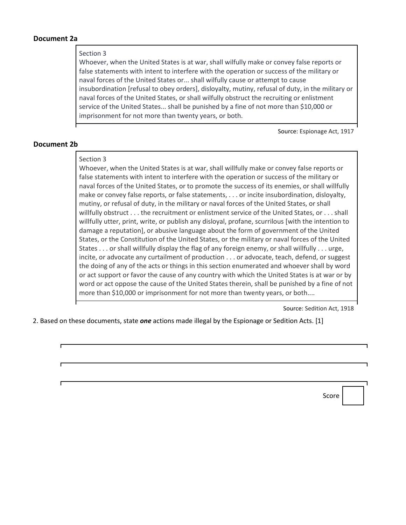## **Document 2a**

## Section 3

Whoever, when the United States is at war, shall wilfully make or convey false reports or false statements with intent to interfere with the operation or success of the military or naval forces of the United States or... shall wilfully cause or attempt to cause insubordination [refusal to obey orders], disloyalty, mutiny, refusal of duty, in the military or naval forces of the United States, or shall wilfully obstruct the recruiting or enlistment service of the United States... shall be punished by a fine of not more than \$10,000 or imprisonment for not more than twenty years, or both.

Source: Espionage Act, 1917

## **Document 2b**

#### Section 3

Whoever, when the United States is at war, shall willfully make or convey false reports or false statements with intent to interfere with the operation or success of the military or naval forces of the United States, or to promote the success of its enemies, or shall willfully make or convey false reports, or false statements, . . . or incite insubordination, disloyalty, mutiny, or refusal of duty, in the military or naval forces of the United States, or shall willfully obstruct . . . the recruitment or enlistment service of the United States, or . . . shall willfully utter, print, write, or publish any disloyal, profane, scurrilous [with the intention to damage a reputation], or abusive language about the form of government of the United States, or the Constitution of the United States, or the military or naval forces of the United States . . . or shall willfully display the flag of any foreign enemy, or shall willfully . . . urge, incite, or advocate any curtailment of production . . . or advocate, teach, defend, or suggest the doing of any of the acts or things in this section enumerated and whoever shall by word or act support or favor the cause of any country with which the United States is at war or by word or act oppose the cause of the United States therein, shall be punished by a fine of not more than \$10,000 or imprisonment for not more than twenty years, or both....

Source: Sedition Act, 1918

2. Based on these documents, state *one* actions made illegal by the Espionage or Sedition Acts. [1]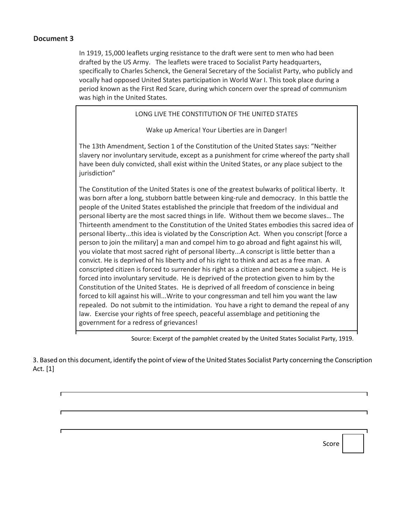In 1919, 15,000 leaflets urging resistance to the draft were sent to men who had been drafted by the US Army. The leaflets were traced to Socialist Party headquarters, specifically to Charles Schenck, the General Secretary of the Socialist Party, who publicly and vocally had opposed United States participation in World War I. This took place during a period known as the First Red Scare, during which concern over the spread of communism was high in the United States.

## LONG LIVE THE CONSTITUTION OF THE UNITED STATES

Wake up America! Your Liberties are in Danger!

The 13th Amendment, Section 1 of the Constitution of the United States says: "Neither slavery nor involuntary servitude, except as a punishment for crime whereof the party shall have been duly convicted, shall exist within the United States, or any place subject to the jurisdiction"

The Constitution of the United States is one of the greatest bulwarks of political liberty. It was born after a long, stubborn battle between king-rule and democracy. In this battle the people of the United States established the principle that freedom of the individual and personal liberty are the most sacred things in life. Without them we become slaves… The Thirteenth amendment to the Constitution of the United States embodies this sacred idea of personal liberty...this idea is violated by the Conscription Act. When you conscript [force a person to join the military] a man and compel him to go abroad and fight against his will, you violate that most sacred right of personal liberty...A conscript is little better than a convict. He is deprived of his liberty and of his right to think and act as a free man. A conscripted citizen is forced to surrender his right as a citizen and become a subject. He is forced into involuntary servitude. He is deprived of the protection given to him by the Constitution of the United States. He is deprived of all freedom of conscience in being forced to kill against his will...Write to your congressman and tell him you want the law repealed. Do not submit to the intimidation. You have a right to demand the repeal of any law. Exercise your rights of free speech, peaceful assemblage and petitioning the government for a redress of grievances!

Source: Excerpt of the pamphlet created by the United States Socialist Party, 1919.

3. Based on this document, identify the point of view of the United States Socialist Party concerning the Conscription Act. [1]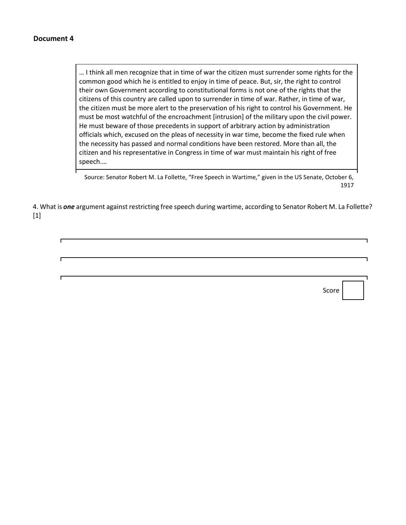… I think all men recognize that in time of war the citizen must surrender some rights for the common good which he is entitled to enjoy in time of peace. But, sir, the right to control their own Government according to constitutional forms is not one of the rights that the citizens of this country are called upon to surrender in time of war. Rather, in time of war, the citizen must be more alert to the preservation of his right to control his Government. He must be most watchful of the encroachment [intrusion] of the military upon the civil power. He must beware of those precedents in support of arbitrary action by administration officials which, excused on the pleas of necessity in war time, become the fixed rule when the necessity has passed and normal conditions have been restored. More than all, the citizen and his representative in Congress in time of war must maintain his right of free speech.…

Source: Senator Robert M. La Follette, "Free Speech in Wartime," given in the US Senate, October 6, 1917

4. What is *one* argument against restricting free speech during wartime, according to Senator Robert M. La Follette? [1]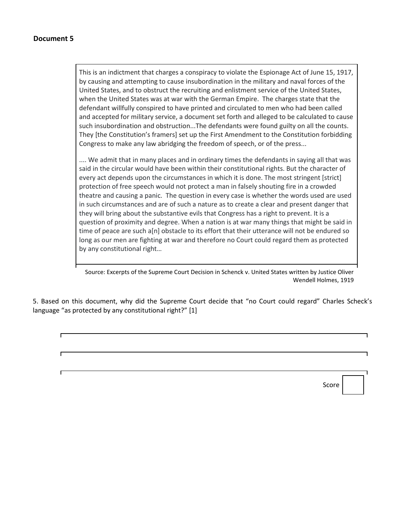This is an indictment that charges a conspiracy to violate the Espionage Act of June 15, 1917, by causing and attempting to cause insubordination in the military and naval forces of the United States, and to obstruct the recruiting and enlistment service of the United States, when the United States was at war with the German Empire. The charges state that the defendant willfully conspired to have printed and circulated to men who had been called and accepted for military service, a document set forth and alleged to be calculated to cause such insubordination and obstruction...The defendants were found guilty on all the counts. They [the Constitution's framers] set up the First Amendment to the Constitution forbidding Congress to make any law abridging the freedom of speech, or of the press...

.... We admit that in many places and in ordinary times the defendants in saying all that was said in the circular would have been within their constitutional rights. But the character of every act depends upon the circumstances in which it is done. The most stringent [strict] protection of free speech would not protect a man in falsely shouting fire in a crowded theatre and causing a panic. The question in every case is whether the words used are used in such circumstances and are of such a nature as to create a clear and present danger that they will bring about the substantive evils that Congress has a right to prevent. It is a question of proximity and degree. When a nation is at war many things that might be said in time of peace are such a[n] obstacle to its effort that their utterance will not be endured so long as our men are fighting at war and therefore no Court could regard them as protected by any constitutional right…

Source: Excerpts of the Supreme Court Decision in Schenck v. United States written by Justice Oliver Wendell Holmes, 1919

5. Based on this document, why did the Supreme Court decide that "no Court could regard" Charles Scheck's language "as protected by any constitutional right?" [1]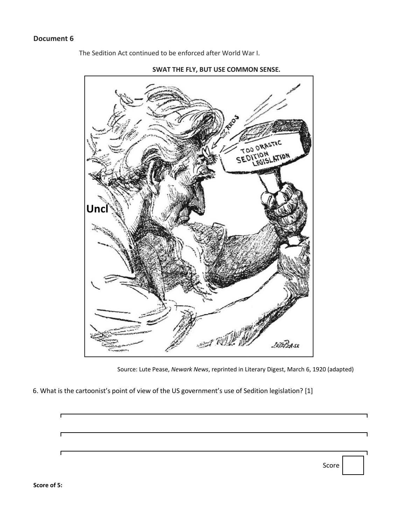The Sedition Act continued to be enforced after World War I.



**SWAT THE FLY, BUT USE COMMON SENSE.**

6. What is the cartoonist's point of view of the US government's use of Sedition legislation? [1]

Source: Lute Pease, *Newark News*, reprinted in Literary Digest, March 6, 1920 (adapted)